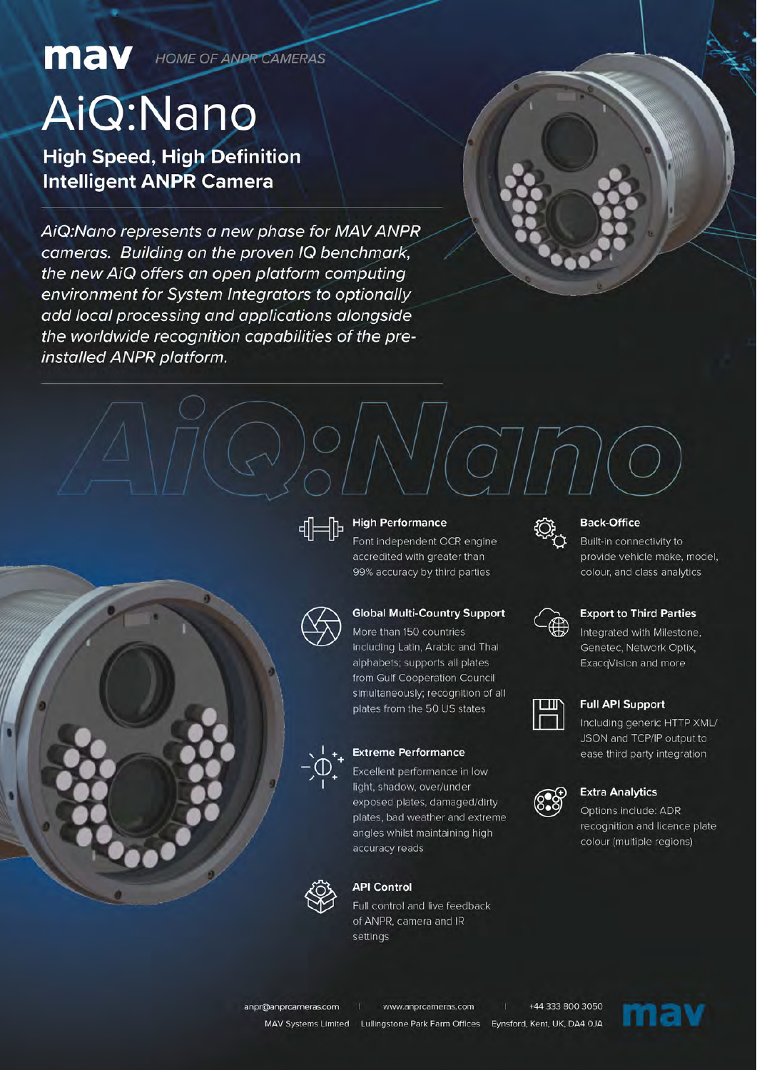**MAV** HOME OF ANPROAMERAS

# AiQ:Nano

**High Speed, High Definition Intelligent ANPR Camera** 

AiQ:Nano represents a new phase for MAV ANPR cameras. Building on the proven IQ benchmark, the new AiQ offers an open platform computing environment for System Integrators to optionally add local processing and applications alongside the worldwide recognition capabilities of the preinstalled ANPR platform.





#### **High Performance**

Font independent OCR engine accredited with greater than 99% accuracy by third parties



#### **Global Multi-Country Support**

More than 150 countries including Latin, Arabic and Thai alphabets; supports all plates from Gulf Cooperation Council simultaneously; recognition of all plates from the 50 US states



#### **Extreme Performance**

Excellent performance in low light, shadow, over/under exposed plates, damaged/dirty plates, bad weather and extreme angles whilst maintaining high accuracy reads



#### **API Control**

Full control and live feedback of ANPR, camera and IR settings



#### **Back-Office**

Built-in connectivity to provide vehicle make, model, colour, and class analytics



#### **Export to Third Parties**

Integrated with Milestone, Genetec, Network Optix, ExacqVision and more



#### **Full API Support**

Including generic HTTP XML/ JSON and TCP/IP output to ease third party integration



#### **Extra Analytics**

Options include: ADR recognition and licence plate colour (multiple regions)

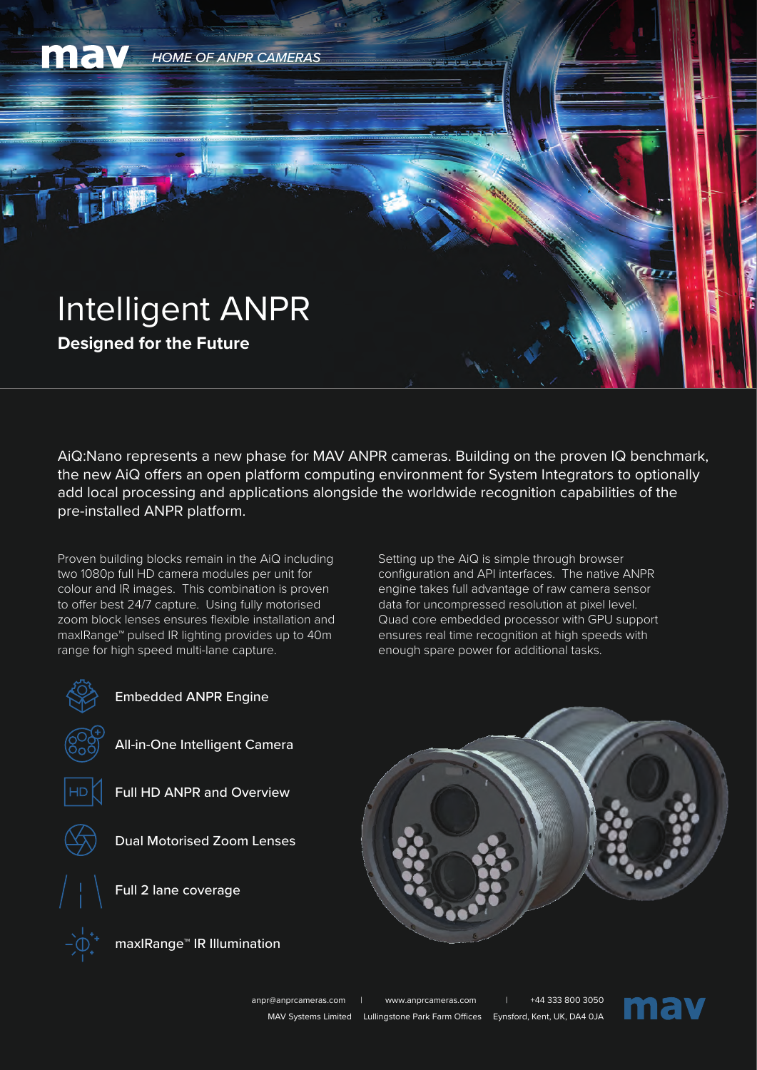

AiQ:Nano represents a new phase for MAV ANPR cameras. Building on the proven IQ benchmark, the new AiQ offers an open platform computing environment for System Integrators to optionally add local processing and applications alongside the worldwide recognition capabilities of the pre-installed ANPR platform.

Proven building blocks remain in the AiQ including two 1080p full HD camera modules per unit for colour and IR images. This combination is proven to offer best 24/7 capture. Using fully motorised zoom block lenses ensures flexible installation and maxIRange™ pulsed IR lighting provides up to 40m range for high speed multi-lane capture.

Setting up the AiQ is simple through browser configuration and API interfaces. The native ANPR engine takes full advantage of raw camera sensor data for uncompressed resolution at pixel level. Quad core embedded processor with GPU support ensures real time recognition at high speeds with enough spare power for additional tasks.







All-in-One Intelligent Camera



Full HD ANPR and Overview



Dual Motorised Zoom Lenses

Full 2 lane coverage



maxIRange™ IR Illumination